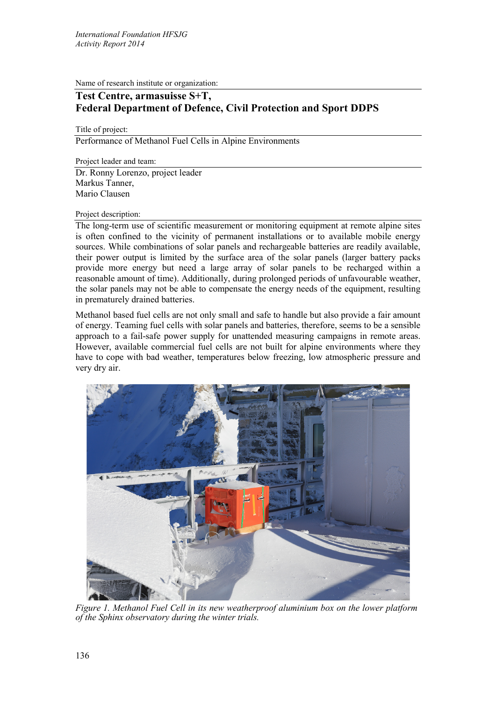Name of research institute or organization:

## **Test Centre, armasuisse S+T, Federal Department of Defence, Civil Protection and Sport DDPS**

Title of project:

Performance of Methanol Fuel Cells in Alpine Environments

Project leader and team: Dr. Ronny Lorenzo, project leader Markus Tanner, Mario Clausen

## Project description:

The long-term use of scientific measurement or monitoring equipment at remote alpine sites is often confined to the vicinity of permanent installations or to available mobile energy sources. While combinations of solar panels and rechargeable batteries are readily available, their power output is limited by the surface area of the solar panels (larger battery packs provide more energy but need a large array of solar panels to be recharged within a reasonable amount of time). Additionally, during prolonged periods of unfavourable weather, the solar panels may not be able to compensate the energy needs of the equipment, resulting in prematurely drained batteries.

Methanol based fuel cells are not only small and safe to handle but also provide a fair amount of energy. Teaming fuel cells with solar panels and batteries, therefore, seems to be a sensible approach to a fail-safe power supply for unattended measuring campaigns in remote areas. However, available commercial fuel cells are not built for alpine environments where they have to cope with bad weather, temperatures below freezing, low atmospheric pressure and very dry air.



*Figure 1. Methanol Fuel Cell in its new weatherproof aluminium box on the lower platform of the Sphinx observatory during the winter trials.*